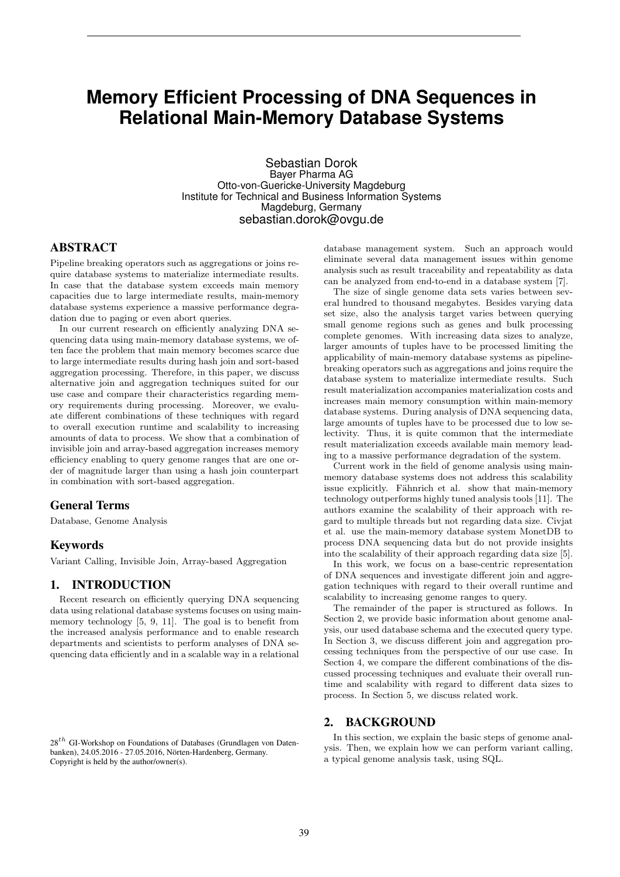# **Memory Efficient Processing of DNA Sequences in Relational Main-Memory Database Systems**

Sebastian Dorok Bayer Pharma AG Otto-von-Guericke-University Magdeburg Institute for Technical and Business Information Systems Magdeburg, Germany sebastian.dorok@ovgu.de

# ABSTRACT

Pipeline breaking operators such as aggregations or joins require database systems to materialize intermediate results. In case that the database system exceeds main memory capacities due to large intermediate results, main-memory database systems experience a massive performance degradation due to paging or even abort queries.

In our current research on efficiently analyzing DNA sequencing data using main-memory database systems, we often face the problem that main memory becomes scarce due to large intermediate results during hash join and sort-based aggregation processing. Therefore, in this paper, we discuss alternative join and aggregation techniques suited for our use case and compare their characteristics regarding memory requirements during processing. Moreover, we evaluate different combinations of these techniques with regard to overall execution runtime and scalability to increasing amounts of data to process. We show that a combination of invisible join and array-based aggregation increases memory efficiency enabling to query genome ranges that are one order of magnitude larger than using a hash join counterpart in combination with sort-based aggregation.

## General Terms

Database, Genome Analysis

## Keywords

Variant Calling, Invisible Join, Array-based Aggregation

# 1. INTRODUCTION

Recent research on efficiently querying DNA sequencing data using relational database systems focuses on using mainmemory technology [5, 9, 11]. The goal is to benefit from the increased analysis performance and to enable research departments and scientists to perform analyses of DNA sequencing data efficiently and in a scalable way in a relational

database management system. Such an approach would eliminate several data management issues within genome analysis such as result traceability and repeatability as data can be analyzed from end-to-end in a database system [7].

The size of single genome data sets varies between several hundred to thousand megabytes. Besides varying data set size, also the analysis target varies between querying small genome regions such as genes and bulk processing complete genomes. With increasing data sizes to analyze, larger amounts of tuples have to be processed limiting the applicability of main-memory database systems as pipelinebreaking operators such as aggregations and joins require the database system to materialize intermediate results. Such result materialization accompanies materialization costs and increases main memory consumption within main-memory database systems. During analysis of DNA sequencing data, large amounts of tuples have to be processed due to low selectivity. Thus, it is quite common that the intermediate result materialization exceeds available main memory leading to a massive performance degradation of the system.

Current work in the field of genome analysis using mainmemory database systems does not address this scalability issue explicitly. Fähnrich et al. show that main-memory technology outperforms highly tuned analysis tools [11]. The authors examine the scalability of their approach with regard to multiple threads but not regarding data size. Civjat et al. use the main-memory database system MonetDB to process DNA sequencing data but do not provide insights into the scalability of their approach regarding data size [5].

In this work, we focus on a base-centric representation of DNA sequences and investigate different join and aggregation techniques with regard to their overall runtime and scalability to increasing genome ranges to query.

The remainder of the paper is structured as follows. In Section 2, we provide basic information about genome analysis, our used database schema and the executed query type. In Section 3, we discuss different join and aggregation processing techniques from the perspective of our use case. In Section 4, we compare the different combinations of the discussed processing techniques and evaluate their overall runtime and scalability with regard to different data sizes to process. In Section 5, we discuss related work.

# 2. BACKGROUND

In this section, we explain the basic steps of genome analysis. Then, we explain how we can perform variant calling, a typical genome analysis task, using SQL.

 $28<sup>th</sup>$  GI-Workshop on Foundations of Databases (Grundlagen von Datenbanken), 24.05.2016 - 27.05.2016, Nörten-Hardenberg, Germany. Copyright is held by the author/owner(s).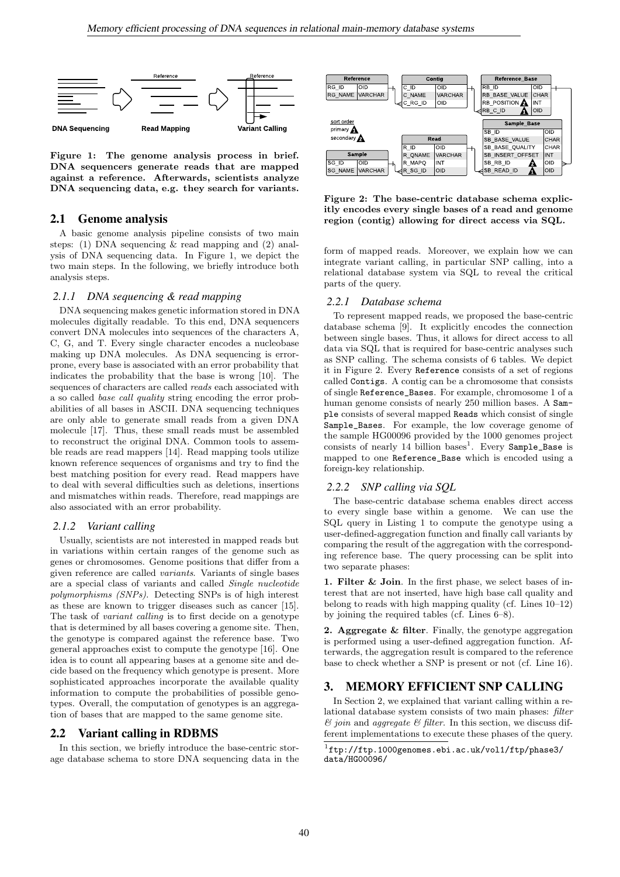

Figure 1: The genome analysis process in brief. DNA sequencers generate reads that are mapped against a reference. Afterwards, scientists analyze DNA sequencing data, e.g. they search for variants.

## 2.1 Genome analysis

A basic genome analysis pipeline consists of two main steps: (1) DNA sequencing & read mapping and (2) analysis of DNA sequencing data. In Figure 1, we depict the two main steps. In the following, we briefly introduce both analysis steps.

#### *2.1.1 DNA sequencing & read mapping*

DNA sequencing makes genetic information stored in DNA molecules digitally readable. To this end, DNA sequencers convert DNA molecules into sequences of the characters A, C, G, and T. Every single character encodes a nucleobase making up DNA molecules. As DNA sequencing is errorprone, every base is associated with an error probability that indicates the probability that the base is wrong [10]. The sequences of characters are called reads each associated with a so called base call quality string encoding the error probabilities of all bases in ASCII. DNA sequencing techniques are only able to generate small reads from a given DNA molecule [17]. Thus, these small reads must be assembled to reconstruct the original DNA. Common tools to assemble reads are read mappers [14]. Read mapping tools utilize known reference sequences of organisms and try to find the best matching position for every read. Read mappers have to deal with several difficulties such as deletions, insertions and mismatches within reads. Therefore, read mappings are also associated with an error probability.

#### *2.1.2 Variant calling*

Usually, scientists are not interested in mapped reads but in variations within certain ranges of the genome such as genes or chromosomes. Genome positions that differ from a given reference are called variants. Variants of single bases are a special class of variants and called Single nucleotide polymorphisms (SNPs). Detecting SNPs is of high interest as these are known to trigger diseases such as cancer [15]. The task of variant calling is to first decide on a genotype that is determined by all bases covering a genome site. Then, the genotype is compared against the reference base. Two general approaches exist to compute the genotype [16]. One idea is to count all appearing bases at a genome site and decide based on the frequency which genotype is present. More sophisticated approaches incorporate the available quality information to compute the probabilities of possible genotypes. Overall, the computation of genotypes is an aggregation of bases that are mapped to the same genome site.

## 2.2 Variant calling in RDBMS

In this section, we briefly introduce the base-centric storage database schema to store DNA sequencing data in the



Figure 2: The base-centric database schema explicitly encodes every single bases of a read and genome region (contig) allowing for direct access via SQL.

form of mapped reads. Moreover, we explain how we can integrate variant calling, in particular SNP calling, into a relational database system via SQL to reveal the critical parts of the query.

#### *2.2.1 Database schema*

To represent mapped reads, we proposed the base-centric database schema [9]. It explicitly encodes the connection between single bases. Thus, it allows for direct access to all data via SQL that is required for base-centric analyses such as SNP calling. The schema consists of 6 tables. We depict it in Figure 2. Every Reference consists of a set of regions called Contigs. A contig can be a chromosome that consists of single Reference\_Bases. For example, chromosome 1 of a human genome consists of nearly 250 million bases. A Sample consists of several mapped Reads which consist of single Sample\_Bases. For example, the low coverage genome of the sample HG00096 provided by the 1000 genomes project consists of nearly 14 billion bases<sup>1</sup>. Every Sample\_Base is mapped to one Reference\_Base which is encoded using a foreign-key relationship.

#### *2.2.2 SNP calling via SQL*

The base-centric database schema enables direct access to every single base within a genome. We can use the SQL query in Listing 1 to compute the genotype using a user-defined-aggregation function and finally call variants by comparing the result of the aggregation with the corresponding reference base. The query processing can be split into two separate phases:

1. Filter & Join. In the first phase, we select bases of interest that are not inserted, have high base call quality and belong to reads with high mapping quality (cf. Lines 10–12) by joining the required tables (cf. Lines 6–8).

2. Aggregate & filter. Finally, the genotype aggregation is performed using a user-defined aggregation function. Afterwards, the aggregation result is compared to the reference base to check whether a SNP is present or not (cf. Line 16).

# 3. MEMORY EFFICIENT SNP CALLING

In Section 2, we explained that variant calling within a relational database system consists of two main phases: filter  $\mathcal C$ join and aggregate $\mathcal C$  filter. In this section, we discuss different implementations to execute these phases of the query.

 $1$ ftp://ftp.1000genomes.ebi.ac.uk/vol1/ftp/phase3/ data/HG00096/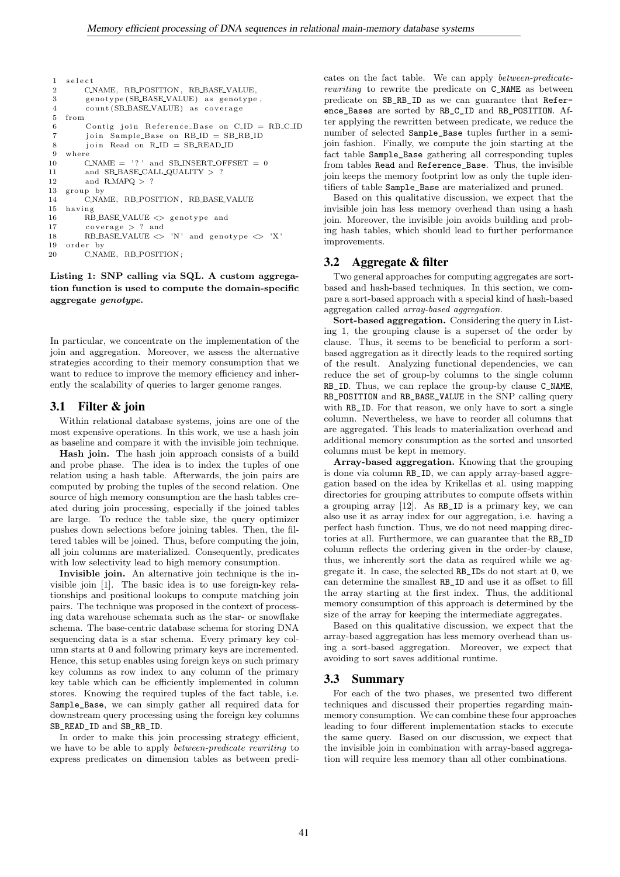```
1 select
2 CNAME, RB_POSITION, RB_BASE_VALUE,<br>3 genotype(SB_BASE_VALUE) as genotype
         genotype (SB_BASE_VALUE) as genotype,
4 count (SB_BASE_VALUE) as coverage
5 from
6 Contig join Reference Base on C ID = RB C ID
7 join Sample_Base on RB_ID = SB_RB_ID
8 join Read on R<sub>-ID</sub> = SB<sub>-</sub>READ<sub>-ID</sub>
    where
10 C_NAME = ' ? ' and SB_INSERT_OFFSET = 0
11 and SB_BASE_CALL_QUALITY > ?<br>12 and R MAPO > ?
         and R_MAPQ > ?13 group by
14 C.NAME, RB_POSITION, RB_BASE_VALUE
15 hav ing
16 RB_BASE_VALUE \langle \rangle genotype and
17 \qquad \text{coverage} > ? \text{and}18 RB_BASE_VALUE \langle \rangle 'N' and genotype \langle \rangle 'X'<br>19 order by
    order by
20 CNAME, RB_POSITION;
```
Listing 1: SNP calling via SQL. A custom aggregation function is used to compute the domain-specific aggregate genotype.

In particular, we concentrate on the implementation of the join and aggregation. Moreover, we assess the alternative strategies according to their memory consumption that we want to reduce to improve the memory efficiency and inherently the scalability of queries to larger genome ranges.

## 3.1 Filter & join

Within relational database systems, joins are one of the most expensive operations. In this work, we use a hash join as baseline and compare it with the invisible join technique.

Hash join. The hash join approach consists of a build and probe phase. The idea is to index the tuples of one relation using a hash table. Afterwards, the join pairs are computed by probing the tuples of the second relation. One source of high memory consumption are the hash tables created during join processing, especially if the joined tables are large. To reduce the table size, the query optimizer pushes down selections before joining tables. Then, the filtered tables will be joined. Thus, before computing the join, all join columns are materialized. Consequently, predicates with low selectivity lead to high memory consumption.

Invisible join. An alternative join technique is the invisible join [1]. The basic idea is to use foreign-key relationships and positional lookups to compute matching join pairs. The technique was proposed in the context of processing data warehouse schemata such as the star- or snowflake schema. The base-centric database schema for storing DNA sequencing data is a star schema. Every primary key column starts at 0 and following primary keys are incremented. Hence, this setup enables using foreign keys on such primary key columns as row index to any column of the primary key table which can be efficiently implemented in column stores. Knowing the required tuples of the fact table, i.e. Sample\_Base, we can simply gather all required data for downstream query processing using the foreign key columns SB\_READ\_ID and SB\_RB\_ID.

In order to make this join processing strategy efficient, we have to be able to apply between-predicate rewriting to express predicates on dimension tables as between predi-

cates on the fact table. We can apply between-predicaterewriting to rewrite the predicate on C\_NAME as between predicate on SB\_RB\_ID as we can guarantee that Reference\_Bases are sorted by RB\_C\_ID and RB\_POSITION. After applying the rewritten between predicate, we reduce the number of selected Sample\_Base tuples further in a semijoin fashion. Finally, we compute the join starting at the fact table Sample\_Base gathering all corresponding tuples from tables Read and Reference\_Base. Thus, the invisible join keeps the memory footprint low as only the tuple identifiers of table Sample\_Base are materialized and pruned.

Based on this qualitative discussion, we expect that the invisible join has less memory overhead than using a hash join. Moreover, the invisible join avoids building and probing hash tables, which should lead to further performance improvements.

## 3.2 Aggregate & filter

Two general approaches for computing aggregates are sortbased and hash-based techniques. In this section, we compare a sort-based approach with a special kind of hash-based aggregation called array-based aggregation.

Sort-based aggregation. Considering the query in Listing 1, the grouping clause is a superset of the order by clause. Thus, it seems to be beneficial to perform a sortbased aggregation as it directly leads to the required sorting of the result. Analyzing functional dependencies, we can reduce the set of group-by columns to the single column RB\_ID. Thus, we can replace the group-by clause C\_NAME, RB\_POSITION and RB\_BASE\_VALUE in the SNP calling query with RB\_ID. For that reason, we only have to sort a single column. Nevertheless, we have to reorder all columns that are aggregated. This leads to materialization overhead and additional memory consumption as the sorted and unsorted columns must be kept in memory.

Array-based aggregation. Knowing that the grouping is done via column RB\_ID, we can apply array-based aggregation based on the idea by Krikellas et al. using mapping directories for grouping attributes to compute offsets within a grouping array [12]. As RB\_ID is a primary key, we can also use it as array index for our aggregation, i.e. having a perfect hash function. Thus, we do not need mapping directories at all. Furthermore, we can guarantee that the RB\_ID column reflects the ordering given in the order-by clause, thus, we inherently sort the data as required while we aggregate it. In case, the selected RB\_IDs do not start at 0, we can determine the smallest RB\_ID and use it as offset to fill the array starting at the first index. Thus, the additional memory consumption of this approach is determined by the size of the array for keeping the intermediate aggregates.

Based on this qualitative discussion, we expect that the array-based aggregation has less memory overhead than using a sort-based aggregation. Moreover, we expect that avoiding to sort saves additional runtime.

#### 3.3 Summary

For each of the two phases, we presented two different techniques and discussed their properties regarding mainmemory consumption. We can combine these four approaches leading to four different implementation stacks to execute the same query. Based on our discussion, we expect that the invisible join in combination with array-based aggregation will require less memory than all other combinations.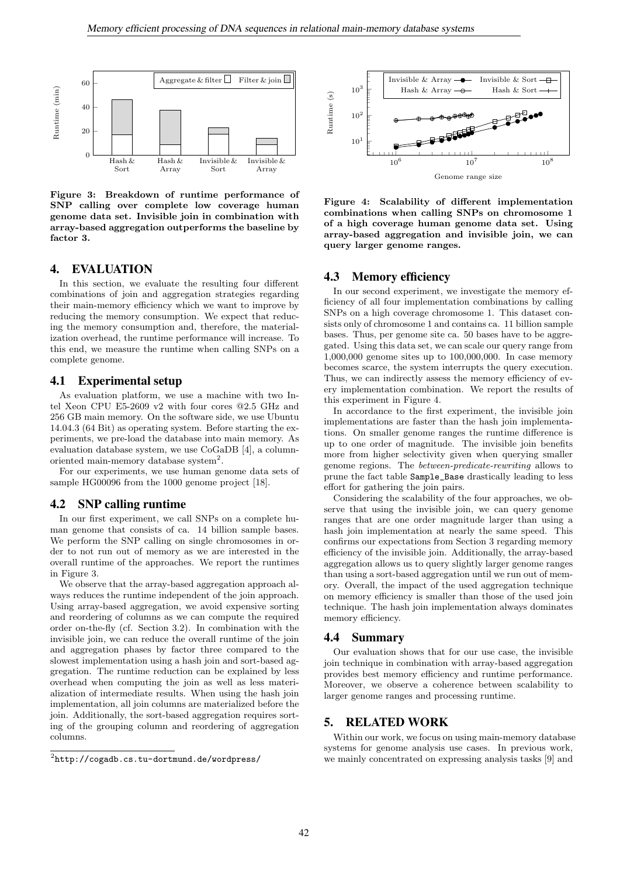

Figure 3: Breakdown of runtime performance of SNP calling over complete low coverage human genome data set. Invisible join in combination with array-based aggregation outperforms the baseline by factor 3.

## 4. EVALUATION

In this section, we evaluate the resulting four different combinations of join and aggregation strategies regarding their main-memory efficiency which we want to improve by reducing the memory consumption. We expect that reducing the memory consumption and, therefore, the materialization overhead, the runtime performance will increase. To this end, we measure the runtime when calling SNPs on a complete genome.

## 4.1 Experimental setup

As evaluation platform, we use a machine with two Intel Xeon CPU E5-2609 v2 with four cores @2.5 GHz and 256 GB main memory. On the software side, we use Ubuntu 14.04.3 (64 Bit) as operating system. Before starting the experiments, we pre-load the database into main memory. As evaluation database system, we use CoGaDB [4], a columnoriented main-memory database system<sup>2</sup>.

For our experiments, we use human genome data sets of sample HG00096 from the 1000 genome project [18].

#### 4.2 SNP calling runtime

In our first experiment, we call SNPs on a complete human genome that consists of ca. 14 billion sample bases. We perform the SNP calling on single chromosomes in order to not run out of memory as we are interested in the overall runtime of the approaches. We report the runtimes in Figure 3.

We observe that the array-based aggregation approach always reduces the runtime independent of the join approach. Using array-based aggregation, we avoid expensive sorting and reordering of columns as we can compute the required order on-the-fly (cf. Section 3.2). In combination with the invisible join, we can reduce the overall runtime of the join and aggregation phases by factor three compared to the slowest implementation using a hash join and sort-based aggregation. The runtime reduction can be explained by less overhead when computing the join as well as less materialization of intermediate results. When using the hash join implementation, all join columns are materialized before the join. Additionally, the sort-based aggregation requires sorting of the grouping column and reordering of aggregation columns.



Figure 4: Scalability of different implementation combinations when calling SNPs on chromosome 1 of a high coverage human genome data set. Using array-based aggregation and invisible join, we can query larger genome ranges.

#### 4.3 Memory efficiency

In our second experiment, we investigate the memory efficiency of all four implementation combinations by calling SNPs on a high coverage chromosome 1. This dataset consists only of chromosome 1 and contains ca. 11 billion sample bases. Thus, per genome site ca. 50 bases have to be aggregated. Using this data set, we can scale our query range from 1,000,000 genome sites up to 100,000,000. In case memory becomes scarce, the system interrupts the query execution. Thus, we can indirectly assess the memory efficiency of every implementation combination. We report the results of this experiment in Figure 4.

In accordance to the first experiment, the invisible join implementations are faster than the hash join implementations. On smaller genome ranges the runtime difference is up to one order of magnitude. The invisible join benefits more from higher selectivity given when querying smaller genome regions. The between-predicate-rewriting allows to prune the fact table Sample\_Base drastically leading to less effort for gathering the join pairs.

Considering the scalability of the four approaches, we observe that using the invisible join, we can query genome ranges that are one order magnitude larger than using a hash join implementation at nearly the same speed. This confirms our expectations from Section 3 regarding memory efficiency of the invisible join. Additionally, the array-based aggregation allows us to query slightly larger genome ranges than using a sort-based aggregation until we run out of memory. Overall, the impact of the used aggregation technique on memory efficiency is smaller than those of the used join technique. The hash join implementation always dominates memory efficiency.

#### 4.4 Summary

Our evaluation shows that for our use case, the invisible join technique in combination with array-based aggregation provides best memory efficiency and runtime performance. Moreover, we observe a coherence between scalability to larger genome ranges and processing runtime.

# 5. RELATED WORK

Within our work, we focus on using main-memory database systems for genome analysis use cases. In previous work, we mainly concentrated on expressing analysis tasks [9] and

 $^2$ http:// ${\tt cogadb.cs.tu-dortmund.de/wordpress/}$